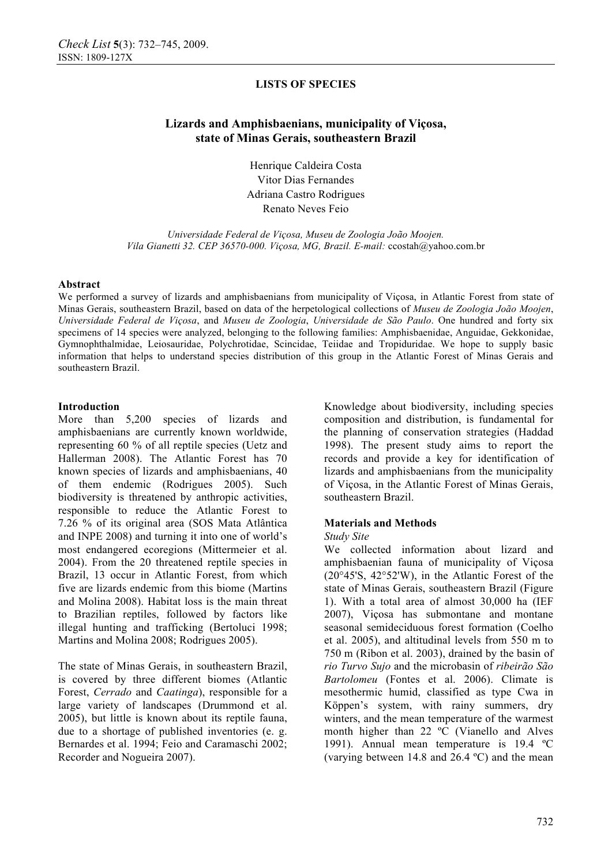## **Lizards and Amphisbaenians, municipality of Viçosa, state of Minas Gerais, southeastern Brazil**

Henrique Caldeira Costa Vitor Dias Fernandes Adriana Castro Rodrigues Renato Neves Feio

*Universidade Federal de Viçosa, Museu de Zoologia João Moojen. Vila Gianetti 32. CEP 36570-000. Viçosa, MG, Brazil. E-mail:* ccostah@yahoo.com.br

#### **Abstract**

We performed a survey of lizards and amphisbaenians from municipality of Viçosa, in Atlantic Forest from state of Minas Gerais, southeastern Brazil, based on data of the herpetological collections of *Museu de Zoologia João Moojen*, *Universidade Federal de Viçosa*, and *Museu de Zoologia*, *Universidade de São Paulo*. One hundred and forty six specimens of 14 species were analyzed, belonging to the following families: Amphisbaenidae, Anguidae, Gekkonidae, Gymnophthalmidae, Leiosauridae, Polychrotidae, Scincidae, Teiidae and Tropiduridae. We hope to supply basic information that helps to understand species distribution of this group in the Atlantic Forest of Minas Gerais and southeastern Brazil.

#### **Introduction**

More than 5,200 species of lizards and amphisbaenians are currently known worldwide, representing 60 % of all reptile species (Uetz and Hallerman 2008). The Atlantic Forest has 70 known species of lizards and amphisbaenians, 40 of them endemic (Rodrigues 2005). Such biodiversity is threatened by anthropic activities, responsible to reduce the Atlantic Forest to 7.26 % of its original area (SOS Mata Atlântica and INPE 2008) and turning it into one of world's most endangered ecoregions (Mittermeier et al. 2004). From the 20 threatened reptile species in Brazil, 13 occur in Atlantic Forest, from which five are lizards endemic from this biome (Martins and Molina 2008). Habitat loss is the main threat to Brazilian reptiles, followed by factors like illegal hunting and trafficking (Bertoluci 1998; Martins and Molina 2008; Rodrigues 2005).

The state of Minas Gerais, in southeastern Brazil, is covered by three different biomes (Atlantic Forest, *Cerrado* and *Caatinga*), responsible for a large variety of landscapes (Drummond et al. 2005), but little is known about its reptile fauna, due to a shortage of published inventories (e. g. Bernardes et al. 1994; Feio and Caramaschi 2002; Recorder and Nogueira 2007).

Knowledge about biodiversity, including species composition and distribution, is fundamental for the planning of conservation strategies (Haddad 1998). The present study aims to report the records and provide a key for identification of lizards and amphisbaenians from the municipality of Viçosa, in the Atlantic Forest of Minas Gerais, southeastern Brazil.

### **Materials and Methods**

#### *Study Site*

We collected information about lizard and amphisbaenian fauna of municipality of Viçosa (20°45'S, 42°52'W), in the Atlantic Forest of the state of Minas Gerais, southeastern Brazil (Figure 1). With a total area of almost 30,000 ha (IEF 2007), Viçosa has submontane and montane seasonal semideciduous forest formation (Coelho et al. 2005), and altitudinal levels from 550 m to 750 m (Ribon et al. 2003), drained by the basin of *rio Turvo Sujo* and the microbasin of *ribeirão São Bartolomeu* (Fontes et al. 2006). Climate is mesothermic humid, classified as type Cwa in Köppen's system, with rainy summers, dry winters, and the mean temperature of the warmest month higher than 22 ºC (Vianello and Alves 1991). Annual mean temperature is 19.4 ºC (varying between 14.8 and 26.4 ºC) and the mean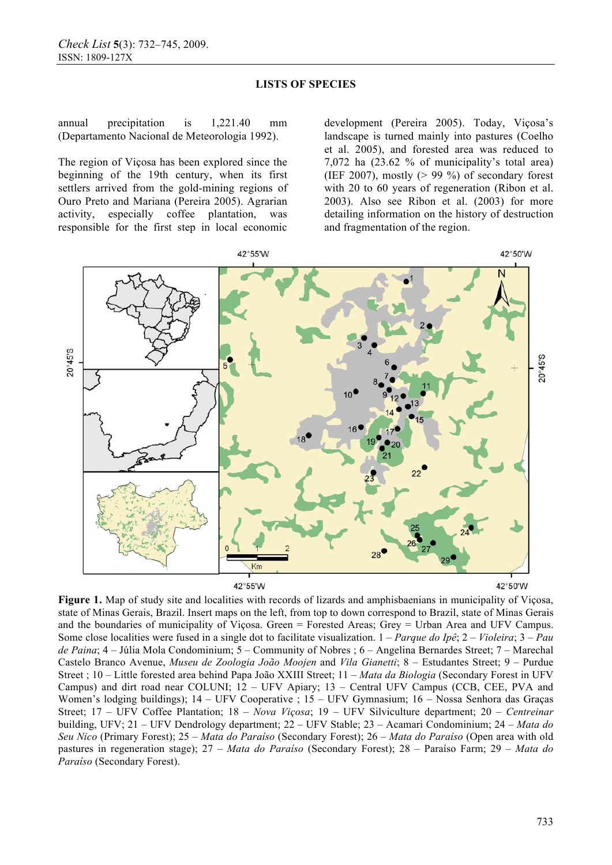annual precipitation is 1,221.40 mm (Departamento Nacional de Meteorologia 1992).

The region of Viçosa has been explored since the beginning of the 19th century, when its first settlers arrived from the gold-mining regions of Ouro Preto and Mariana (Pereira 2005). Agrarian activity, especially coffee plantation, was responsible for the first step in local economic

development (Pereira 2005). Today, Viçosa's landscape is turned mainly into pastures (Coelho et al. 2005), and forested area was reduced to 7,072 ha (23.62 % of municipality's total area) (IEF 2007), mostly  $(> 99\%)$  of secondary forest with 20 to 60 years of regeneration (Ribon et al. 2003). Also see Ribon et al. (2003) for more detailing information on the history of destruction and fragmentation of the region.



42°55'W



**Figure 1.** Map of study site and localities with records of lizards and amphisbaenians in municipality of Viçosa, state of Minas Gerais, Brazil. Insert maps on the left, from top to down correspond to Brazil, state of Minas Gerais and the boundaries of municipality of Viçosa. Green = Forested Areas; Grey = Urban Area and UFV Campus. Some close localities were fused in a single dot to facilitate visualization. 1 – *Parque do Ipê*; 2 – *Violeira*; 3 – *Pau de Paina*; 4 – Júlia Mola Condominium; 5 – Community of Nobres ; 6 – Angelina Bernardes Street; 7 – Marechal Castelo Branco Avenue, *Museu de Zoologia João Moojen* and *Vila Gianetti*; 8 – Estudantes Street; 9 – Purdue Street ; 10 – Little forested area behind Papa João XXIII Street; 11 – *Mata da Biologia* (Secondary Forest in UFV Campus) and dirt road near COLUNI; 12 – UFV Apiary; 13 – Central UFV Campus (CCB, CEE, PVA and Women's lodging buildings); 14 – UFV Cooperative ; 15 – UFV Gymnasium; 16 – Nossa Senhora das Graças Street; 17 – UFV Coffee Plantation; 18 – *Nova Viçosa*; 19 – UFV Silviculture department; 20 – *Centreinar* building, UFV; 21 – UFV Dendrology department; 22 – UFV Stable; 23 – Acamari Condominium; 24 – *Mata do Seu Nico* (Primary Forest); 25 – *Mata do Paraíso* (Secondary Forest); 26 – *Mata do Paraíso* (Open area with old pastures in regeneration stage); 27 – *Mata do Paraíso* (Secondary Forest); 28 – Paraíso Farm; 29 – *Mata do Paraíso* (Secondary Forest).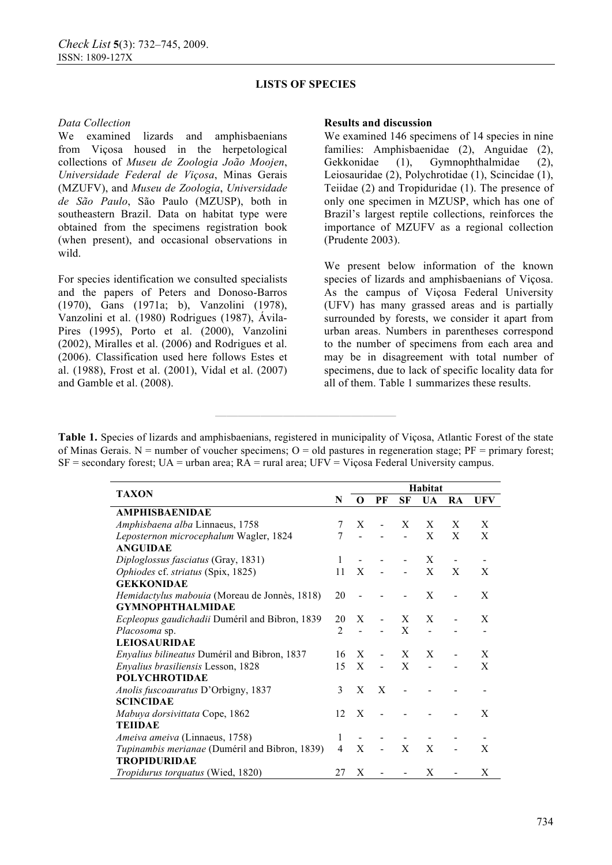### *Data Collection*

We examined lizards and amphisbaenians from Viçosa housed in the herpetological collections of *Museu de Zoologia João Moojen*, *Universidade Federal de Viçosa*, Minas Gerais (MZUFV), and *Museu de Zoologia*, *Universidade de São Paulo*, São Paulo (MZUSP), both in southeastern Brazil. Data on habitat type were obtained from the specimens registration book (when present), and occasional observations in wild.

For species identification we consulted specialists and the papers of Peters and Donoso-Barros (1970), Gans (1971a; b), Vanzolini (1978), Vanzolini et al. (1980) Rodrigues (1987), Ávila-Pires (1995), Porto et al. (2000), Vanzolini (2002), Miralles et al. (2006) and Rodrigues et al. (2006). Classification used here follows Estes et al. (1988), Frost et al. (2001), Vidal et al. (2007) and Gamble et al. (2008).

#### **Results and discussion**

We examined 146 specimens of 14 species in nine families: Amphisbaenidae (2), Anguidae (2), Gekkonidae (1), Gymnophthalmidae (2), Leiosauridae (2), Polychrotidae (1), Scincidae (1), Teiidae (2) and Tropiduridae (1). The presence of only one specimen in MZUSP, which has one of Brazil's largest reptile collections, reinforces the importance of MZUFV as a regional collection (Prudente 2003).

We present below information of the known species of lizards and amphisbaenians of Viçosa. As the campus of Viçosa Federal University (UFV) has many grassed areas and is partially surrounded by forests, we consider it apart from urban areas. Numbers in parentheses correspond to the number of specimens from each area and may be in disagreement with total number of specimens, due to lack of specific locality data for all of them. Table 1 summarizes these results.

**Table 1.** Species of lizards and amphisbaenians, registered in municipality of Viçosa, Atlantic Forest of the state of Minas Gerais. N = number of voucher specimens;  $O = old$  pastures in regeneration stage;  $PF = primary$  forest;  $SF =$  secondary forest;  $UA =$  urban area;  $RA =$  rural area;  $UFV = Vi$ cosa Federal University campus.

**————————————————**

|                                                |                | Habitat  |                |                |              |    |            |  |  |
|------------------------------------------------|----------------|----------|----------------|----------------|--------------|----|------------|--|--|
| <b>TAXON</b>                                   |                | $\Omega$ | PF             | SF             | <b>UA</b>    | RA | <b>UFV</b> |  |  |
| <b>AMPHISBAENIDAE</b>                          |                |          |                |                |              |    |            |  |  |
| Amphisbaena alba Linnaeus, 1758                | 7              | X        |                | X              | X            | X  | X          |  |  |
| Leposternon microcephalum Wagler, 1824         | 7              |          |                |                | $\mathbf{X}$ | X  | X          |  |  |
| <b>ANGUIDAE</b>                                |                |          |                |                |              |    |            |  |  |
| Diploglossus fasciatus (Gray, 1831)            | 1              |          |                |                | X            |    |            |  |  |
| Ophiodes cf. striatus (Spix, 1825)             | 11             | X        |                |                | X            | X  | X          |  |  |
| <b>GEKKONIDAE</b>                              |                |          |                |                |              |    |            |  |  |
| Hemidactylus mabouia (Moreau de Jonnès, 1818)  | 20             |          |                | $\blacksquare$ | X            |    | X          |  |  |
| <b>GYMNOPHTHALMIDAE</b>                        |                |          |                |                |              |    |            |  |  |
| Ecpleopus gaudichadii Duméril and Bibron, 1839 | 20             | X        | $\blacksquare$ | X              | X            |    | X          |  |  |
| <i>Placosoma</i> sp.                           | $\overline{2}$ |          |                | X              |              |    |            |  |  |
| <b>LEIOSAURIDAE</b>                            |                |          |                |                |              |    |            |  |  |
| Enyalius bilineatus Duméril and Bibron, 1837   | 16             | X        | $\blacksquare$ | X              | X            |    | X          |  |  |
| Enyalius brasiliensis Lesson, 1828             | 15             | X        |                | X              |              |    | X          |  |  |
| <b>POLYCHROTIDAE</b>                           |                |          |                |                |              |    |            |  |  |
| Anolis fuscoauratus D'Orbigny, 1837            | 3              | X        | $\mathbf{X}$   |                |              |    |            |  |  |
| <b>SCINCIDAE</b>                               |                |          |                |                |              |    |            |  |  |
| Mabuya dorsivittata Cope, 1862                 | 12             | X        |                |                |              |    | X          |  |  |
| <b>TEHDAE</b>                                  |                |          |                |                |              |    |            |  |  |
| Ameiva ameiva (Linnaeus, 1758)                 | 1              |          |                |                |              |    |            |  |  |
| Tupinambis merianae (Duméril and Bibron, 1839) | 4              | X        | ÷              | X              | X            |    | X          |  |  |
| <b>TROPIDURIDAE</b>                            |                |          |                |                |              |    |            |  |  |
| Tropidurus torquatus (Wied, 1820)              | 27             | X        | ÷,             | $\blacksquare$ | X            |    | X          |  |  |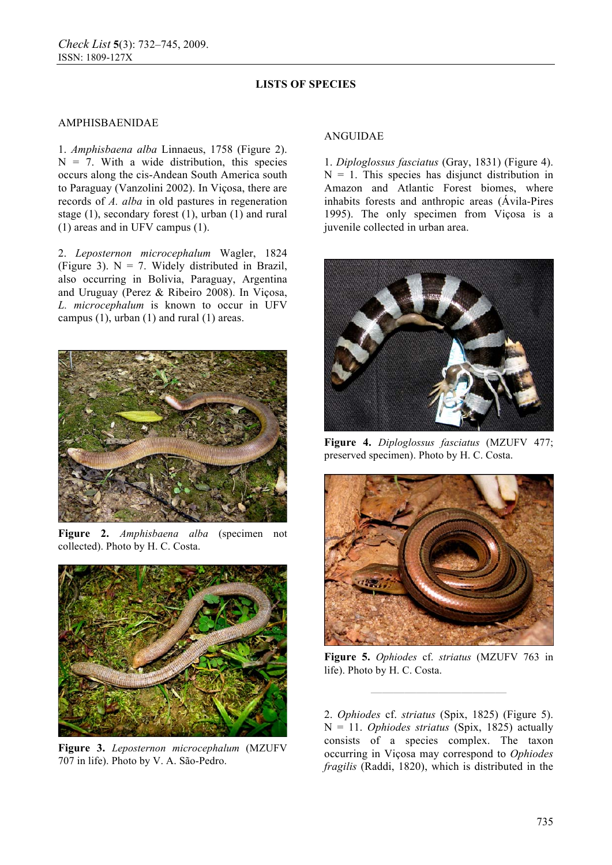#### AMPHISBAENIDAE

1. *Amphisbaena alba* Linnaeus, 1758 (Figure 2).  $N = 7$ . With a wide distribution, this species occurs along the cis-Andean South America south to Paraguay (Vanzolini 2002). In Viçosa, there are records of *A. alba* in old pastures in regeneration stage (1), secondary forest (1), urban (1) and rural (1) areas and in UFV campus (1).

2. *Leposternon microcephalum* Wagler, 1824 (Figure 3).  $N = 7$ . Widely distributed in Brazil, also occurring in Bolivia, Paraguay, Argentina and Uruguay (Perez & Ribeiro 2008). In Viçosa, *L. microcephalum* is known to occur in UFV campus (1), urban (1) and rural (1) areas.



**Figure 2.** *Amphisbaena alba* (specimen not collected). Photo by H. C. Costa.



**Figure 3.** *Leposternon microcephalum* (MZUFV 707 in life). Photo by V. A. São-Pedro.

#### ANGUIDAE

1. *Diploglossus fasciatus* (Gray, 1831) (Figure 4).  $N = 1$ . This species has disjunct distribution in Amazon and Atlantic Forest biomes, where inhabits forests and anthropic areas (Ávila-Pires 1995). The only specimen from Viçosa is a juvenile collected in urban area.



**Figure 4.** *Diploglossus fasciatus* (MZUFV 477; preserved specimen). Photo by H. C. Costa.



**Figure 5.** *Ophiodes* cf. *striatus* (MZUFV 763 in life). Photo by H. C. Costa.

**————————————**

2. *Ophiodes* cf. *striatus* (Spix, 1825) (Figure 5). N = 11. *Ophiodes striatus* (Spix, 1825) actually consists of a species complex. The taxon occurring in Viçosa may correspond to *Ophiodes fragilis* (Raddi, 1820), which is distributed in the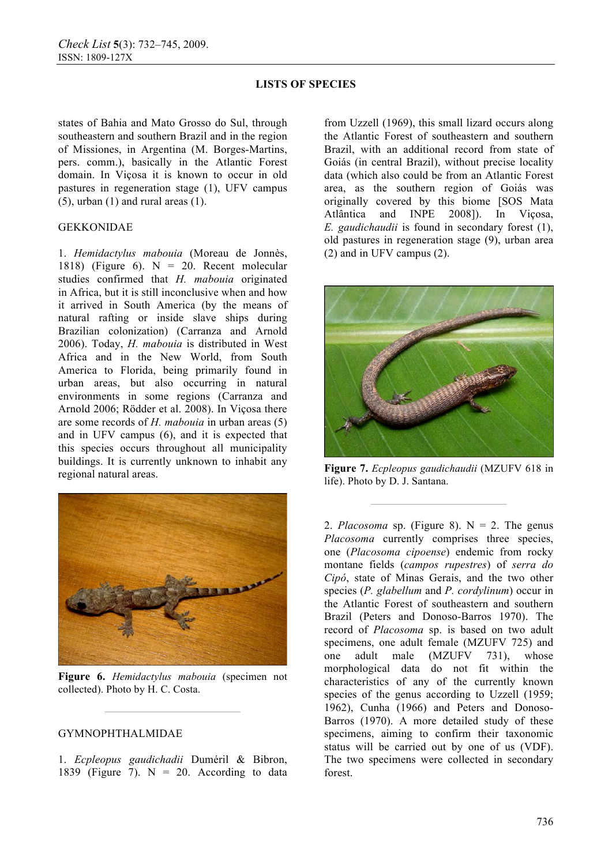states of Bahia and Mato Grosso do Sul, through southeastern and southern Brazil and in the region of Missiones, in Argentina (M. Borges-Martins, pers. comm.), basically in the Atlantic Forest domain. In Viçosa it is known to occur in old pastures in regeneration stage (1), UFV campus  $(5)$ , urban  $(1)$  and rural areas  $(1)$ .

#### GEKKONIDAE

1. *Hemidactylus mabouia* (Moreau de Jonnès, 1818) (Figure 6).  $N = 20$ . Recent molecular studies confirmed that *H. mabouia* originated in Africa, but it is still inconclusive when and how it arrived in South America (by the means of natural rafting or inside slave ships during Brazilian colonization) (Carranza and Arnold 2006). Today, *H. mabouia* is distributed in West Africa and in the New World, from South America to Florida, being primarily found in urban areas, but also occurring in natural environments in some regions (Carranza and Arnold 2006; Rödder et al. 2008). In Viçosa there are some records of *H. mabouia* in urban areas (5) and in UFV campus (6), and it is expected that this species occurs throughout all municipality buildings. It is currently unknown to inhabit any regional natural areas.



**Figure 6.** *Hemidactylus mabouia* (specimen not collected). Photo by H. C. Costa.

**————————————**

### GYMNOPHTHALMIDAE

1. *Ecpleopus gaudichadii* Duméril & Bibron, 1839 (Figure 7).  $N = 20$ . According to data from Uzzell (1969), this small lizard occurs along the Atlantic Forest of southeastern and southern Brazil, with an additional record from state of Goiás (in central Brazil), without precise locality data (which also could be from an Atlantic Forest area, as the southern region of Goiás was originally covered by this biome [SOS Mata Atlântica and INPE 2008]). In Viçosa, *E. gaudichaudii* is found in secondary forest (1), old pastures in regeneration stage (9), urban area (2) and in UFV campus (2).



**Figure 7.** *Ecpleopus gaudichaudii* (MZUFV 618 in life). Photo by D. J. Santana.

**————————————**

2. *Placosoma* sp. (Figure 8).  $N = 2$ . The genus *Placosoma* currently comprises three species, one (*Placosoma cipoense*) endemic from rocky montane fields (*campos rupestres*) of *serra do Cipó*, state of Minas Gerais, and the two other species (*P. glabellum* and *P. cordylinum*) occur in the Atlantic Forest of southeastern and southern Brazil (Peters and Donoso-Barros 1970). The record of *Placosoma* sp. is based on two adult specimens, one adult female (MZUFV 725) and one adult male (MZUFV 731), whose morphological data do not fit within the characteristics of any of the currently known species of the genus according to Uzzell (1959; 1962), Cunha (1966) and Peters and Donoso-Barros (1970). A more detailed study of these specimens, aiming to confirm their taxonomic status will be carried out by one of us (VDF). The two specimens were collected in secondary forest.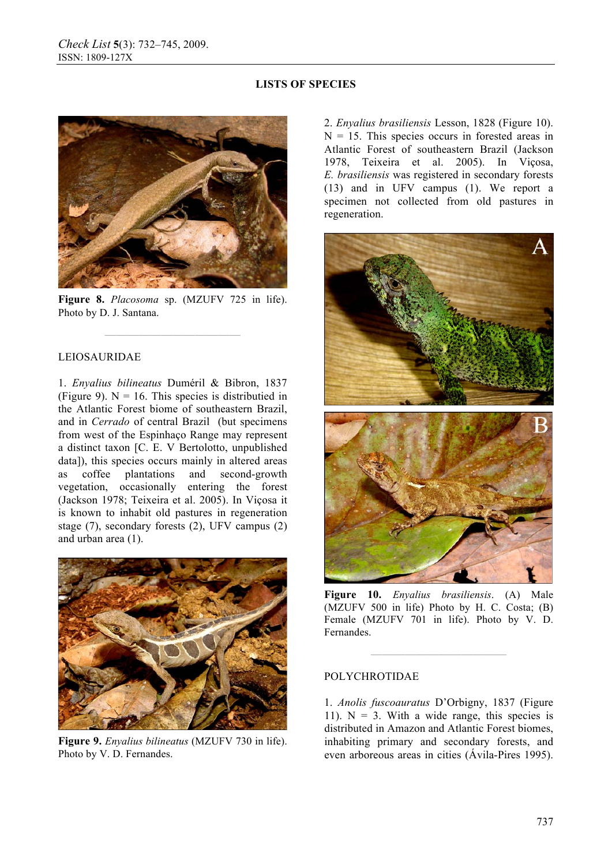

**Figure 8.** *Placosoma* sp. (MZUFV 725 in life). Photo by D. J. Santana.

**————————————**

### LEIOSAURIDAE

1. *Enyalius bilineatus* Duméril & Bibron, 1837 (Figure 9).  $N = 16$ . This species is distributied in the Atlantic Forest biome of southeastern Brazil, and in *Cerrado* of central Brazil (but specimens from west of the Espinhaço Range may represent a distinct taxon [C. E. V Bertolotto, unpublished data]), this species occurs mainly in altered areas as coffee plantations and second-growth vegetation, occasionally entering the forest (Jackson 1978; Teixeira et al. 2005). In Viçosa it is known to inhabit old pastures in regeneration stage (7), secondary forests (2), UFV campus (2) and urban area (1).



**Figure 9.** *Enyalius bilineatus* (MZUFV 730 in life). Photo by V. D. Fernandes.

2. *Enyalius brasiliensis* Lesson, 1828 (Figure 10).  $N = 15$ . This species occurs in forested areas in Atlantic Forest of southeastern Brazil (Jackson 1978, Teixeira et al. 2005). In Viçosa, *E. brasiliensis* was registered in secondary forests (13) and in UFV campus (1). We report a specimen not collected from old pastures in regeneration.



**Figure 10.** *Enyalius brasiliensis*. (A) Male (MZUFV 500 in life) Photo by H. C. Costa; (B) Female (MZUFV 701 in life). Photo by V. D. Fernandes.

**————————————**

### POLYCHROTIDAE

1. *Anolis fuscoauratus* D'Orbigny, 1837 (Figure 11).  $N = 3$ . With a wide range, this species is distributed in Amazon and Atlantic Forest biomes, inhabiting primary and secondary forests, and even arboreous areas in cities (Ávila-Pires 1995).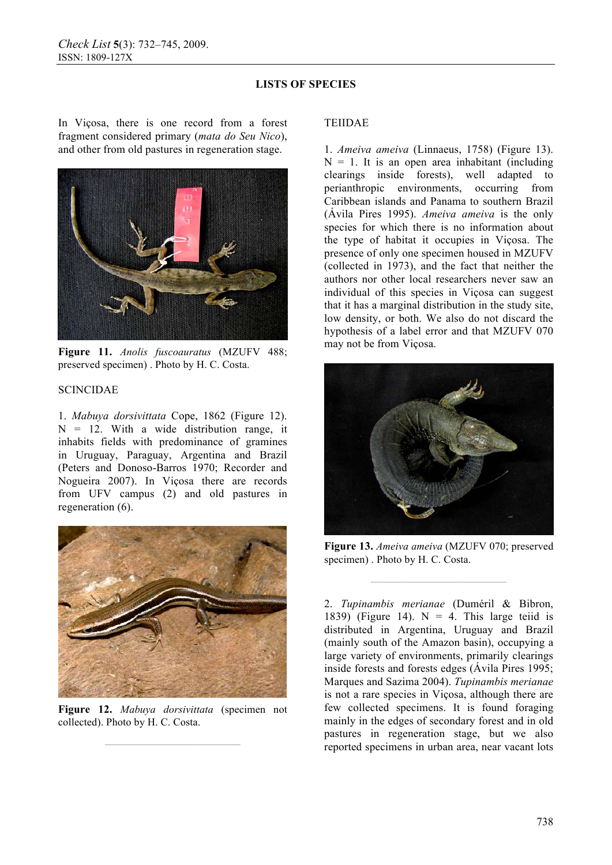In Viçosa, there is one record from a forest fragment considered primary (*mata do Seu Nico*), and other from old pastures in regeneration stage.



**Figure 11.** *Anolis fuscoauratus* (MZUFV 488; preserved specimen) . Photo by H. C. Costa.

## SCINCIDAE

1. *Mabuya dorsivittata* Cope, 1862 (Figure 12).  $N = 12$ . With a wide distribution range, it inhabits fields with predominance of gramines in Uruguay, Paraguay, Argentina and Brazil (Peters and Donoso-Barros 1970; Recorder and Nogueira 2007). In Viçosa there are records from UFV campus (2) and old pastures in regeneration (6).



**Figure 12.** *Mabuya dorsivittata* (specimen not collected). Photo by H. C. Costa.

**————————————**

### TEIIDAE

1. *Ameiva ameiva* (Linnaeus, 1758) (Figure 13).  $N = 1$ . It is an open area inhabitant (including clearings inside forests), well adapted to perianthropic environments, occurring from Caribbean islands and Panama to southern Brazil (Ávila Pires 1995). *Ameiva ameiva* is the only species for which there is no information about the type of habitat it occupies in Viçosa. The presence of only one specimen housed in MZUFV (collected in 1973), and the fact that neither the authors nor other local researchers never saw an individual of this species in Viçosa can suggest that it has a marginal distribution in the study site, low density, or both. We also do not discard the hypothesis of a label error and that MZUFV 070 may not be from Viçosa.



**Figure 13.** *Ameiva ameiva* (MZUFV 070; preserved specimen) . Photo by H. C. Costa.

**————————————**

2. *Tupinambis merianae* (Duméril & Bibron, 1839) (Figure 14).  $N = 4$ . This large teild is distributed in Argentina, Uruguay and Brazil (mainly south of the Amazon basin), occupying a large variety of environments, primarily clearings inside forests and forests edges (Ávila Pires 1995; Marques and Sazima 2004). *Tupinambis merianae*  is not a rare species in Viçosa, although there are few collected specimens. It is found foraging mainly in the edges of secondary forest and in old pastures in regeneration stage, but we also reported specimens in urban area, near vacant lots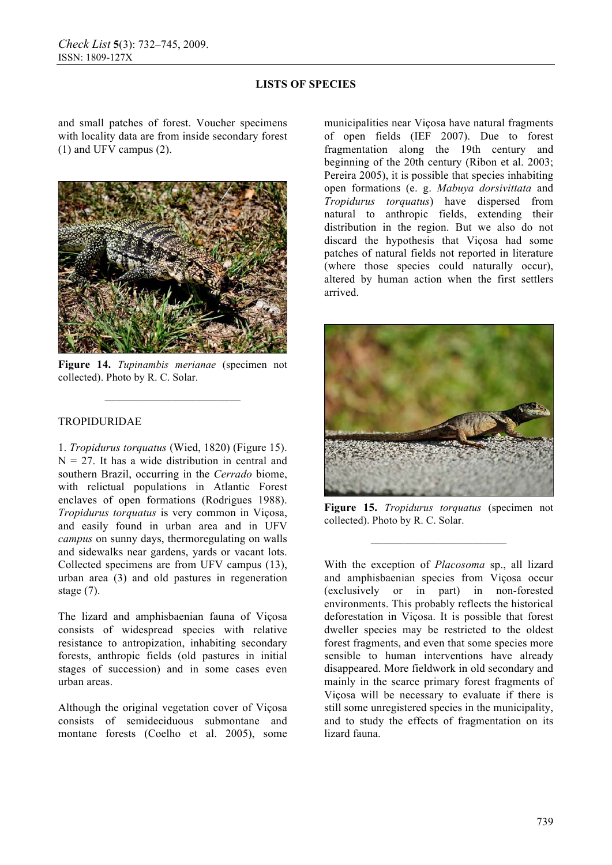and small patches of forest. Voucher specimens with locality data are from inside secondary forest (1) and UFV campus (2).



**Figure 14.** *Tupinambis merianae* (specimen not collected). Photo by R. C. Solar.

**————————————**

### TROPIDURIDAE

1. *Tropidurus torquatus* (Wied, 1820) (Figure 15).  $N = 27$ . It has a wide distribution in central and southern Brazil, occurring in the *Cerrado* biome, with relictual populations in Atlantic Forest enclaves of open formations (Rodrigues 1988). *Tropidurus torquatus* is very common in Viçosa, and easily found in urban area and in UFV *campus* on sunny days, thermoregulating on walls and sidewalks near gardens, yards or vacant lots. Collected specimens are from UFV campus (13), urban area (3) and old pastures in regeneration stage (7).

The lizard and amphisbaenian fauna of Viçosa consists of widespread species with relative resistance to antropization, inhabiting secondary forests, anthropic fields (old pastures in initial stages of succession) and in some cases even urban areas.

Although the original vegetation cover of Viçosa consists of semideciduous submontane and montane forests (Coelho et al. 2005), some municipalities near Viçosa have natural fragments of open fields (IEF 2007). Due to forest fragmentation along the 19th century and beginning of the 20th century (Ribon et al. 2003; Pereira 2005), it is possible that species inhabiting open formations (e. g. *Mabuya dorsivittata* and *Tropidurus torquatus*) have dispersed from natural to anthropic fields, extending their distribution in the region. But we also do not discard the hypothesis that Viçosa had some patches of natural fields not reported in literature (where those species could naturally occur), altered by human action when the first settlers arrived.



**Figure 15.** *Tropidurus torquatus* (specimen not collected). Photo by R. C. Solar.

**————————————**

With the exception of *Placosoma* sp., all lizard and amphisbaenian species from Viçosa occur (exclusively or in part) in non-forested environments. This probably reflects the historical deforestation in Viçosa. It is possible that forest dweller species may be restricted to the oldest forest fragments, and even that some species more sensible to human interventions have already disappeared. More fieldwork in old secondary and mainly in the scarce primary forest fragments of Viçosa will be necessary to evaluate if there is still some unregistered species in the municipality, and to study the effects of fragmentation on its lizard fauna.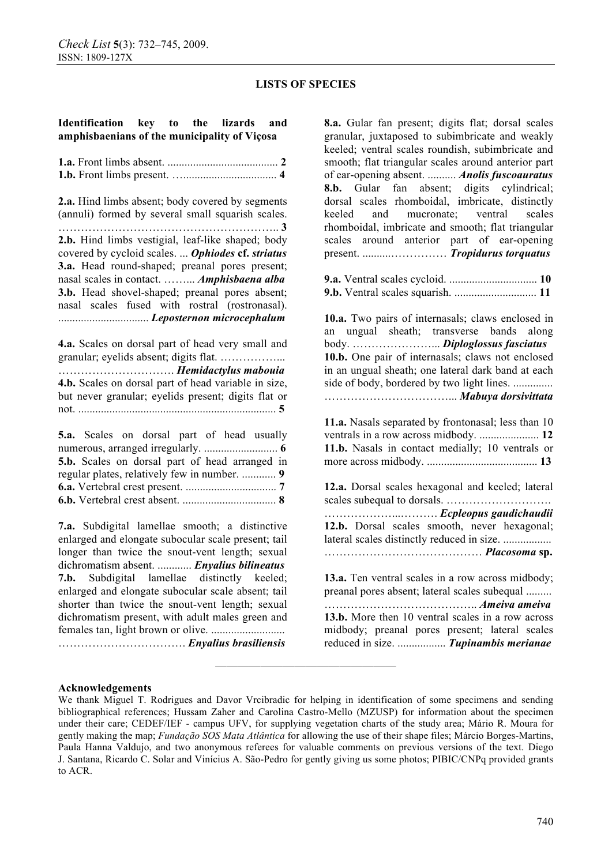#### **Identification key to the lizards and amphisbaenians of the municipality of Viçosa**

**2.a.** Hind limbs absent; body covered by segments (annuli) formed by several small squarish scales. ………………………………………………….. **3 2.b.** Hind limbs vestigial, leaf-like shaped; body covered by cycloid scales. ... *Ophiodes* **cf.** *striatus*  **3.a.** Head round-shaped; preanal pores present; nasal scales in contact. ……... *Amphisbaena alba*  **3.b.** Head shovel-shaped; preanal pores absent; nasal scales fused with rostral (rostronasal). ................................ *Leposternon microcephalum* 

**4.a.** Scales on dorsal part of head very small and granular; eyelids absent; digits flat. ……………... …………………………. *Hemidactylus mabouia*  **4.b.** Scales on dorsal part of head variable in size, but never granular; eyelids present; digits flat or not. ...................................................................... **5** 

**5.a.** Scales on dorsal part of head usually numerous, arranged irregularly. .......................... **6 5.b.** Scales on dorsal part of head arranged in regular plates, relatively few in number. ............ **9 6.a.** Vertebral crest present. ................................ **7 6.b.** Vertebral crest absent. ................................. **8** 

**7.a.** Subdigital lamellae smooth; a distinctive enlarged and elongate subocular scale present; tail longer than twice the snout-vent length; sexual dichromatism absent. ............ *Enyalius bilineatus*  **7.b.** Subdigital lamellae distinctly keeled; enlarged and elongate subocular scale absent; tail shorter than twice the snout-vent length; sexual dichromatism present, with adult males green and females tan, light brown or olive. .......................... ……………………………. *Enyalius brasiliensis* 

**8.a.** Gular fan present; digits flat; dorsal scales granular, juxtaposed to subimbricate and weakly keeled; ventral scales roundish, subimbricate and smooth; flat triangular scales around anterior part of ear-opening absent. .......... *Anolis fuscoauratus*  **8.b.** Gular fan absent; digits cylindrical; dorsal scales rhomboidal, imbricate, distinctly keeled and mucronate; ventral scales rhomboidal, imbricate and smooth; flat triangular scales around anterior part of ear-opening present. ..........…………… *Tropidurus torquatus*  **9.a.** Ventral scales cycloid. ............................... **10 9.b.** Ventral scales squarish. ............................. **11 10.a.** Two pairs of internasals; claws enclosed in an ungual sheath; transverse bands along body. …………………... *Diploglossus fasciatus*  **10.b.** One pair of internasals; claws not enclosed in an ungual sheath; one lateral dark band at each side of body, bordered by two light lines. .............. ……………………………... *Mabuya dorsivittata*  **11.a.** Nasals separated by frontonasal; less than 10 ventrals in a row across midbody. ..................... **12 11.b.** Nasals in contact medially; 10 ventrals or more across midbody. ....................................... **13 12.a.** Dorsal scales hexagonal and keeled; lateral scales subequal to dorsals. ………………………. ………………...………. *Ecpleopus gaudichaudii*  **12.b.** Dorsal scales smooth, never hexagonal; lateral scales distinctly reduced in size. ................. …………………………………… *Placosoma* **sp. 13.a.** Ten ventral scales in a row across midbody; preanal pores absent; lateral scales subequal ......... ………………………………….. *Ameiva ameiva*  **13.b.** More then 10 ventral scales in a row across midbody; preanal pores present; lateral scales reduced in size. ................. *Tupinambis merianae* 

#### **Acknowledgements**

**————————————————**

We thank Miguel T. Rodrigues and Davor Vrcibradic for helping in identification of some specimens and sending bibliographical references; Hussam Zaher and Carolina Castro-Mello (MZUSP) for information about the specimen under their care; CEDEF/IEF - campus UFV, for supplying vegetation charts of the study area; Mário R. Moura for gently making the map; *Fundação SOS Mata Atlântica* for allowing the use of their shape files; Márcio Borges-Martins, Paula Hanna Valdujo, and two anonymous referees for valuable comments on previous versions of the text. Diego J. Santana, Ricardo C. Solar and Vinícius A. São-Pedro for gently giving us some photos; PIBIC/CNPq provided grants to ACR.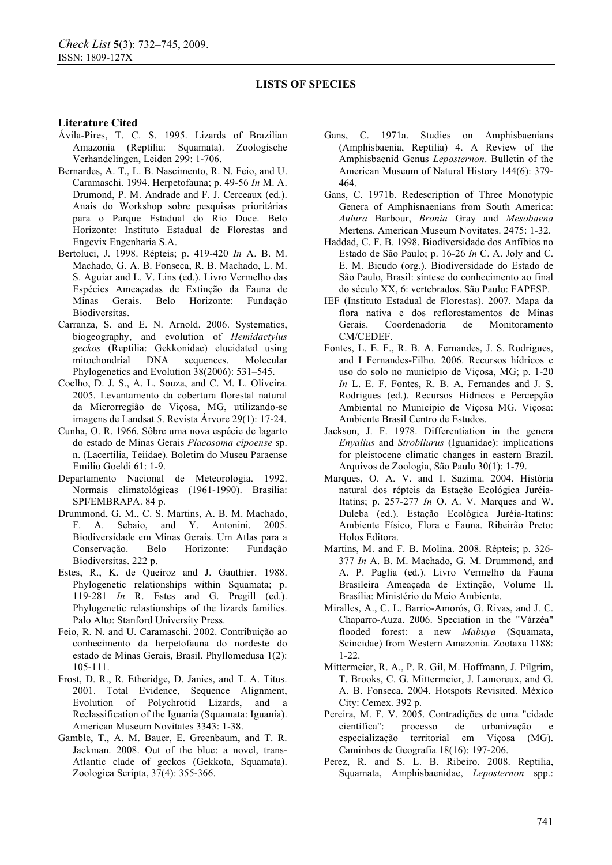#### **Literature Cited**

- Ávila-Pires, T. C. S. 1995. Lizards of Brazilian Amazonia (Reptilia: Squamata). Zoologische Verhandelingen, Leiden 299: 1-706.
- Bernardes, A. T., L. B. Nascimento, R. N. Feio, and U. Caramaschi. 1994. Herpetofauna; p. 49-56 *In* M. A. Drumond, P. M. Andrade and F. J. Cerceaux (ed.). Anais do Workshop sobre pesquisas prioritárias para o Parque Estadual do Rio Doce. Belo Horizonte: Instituto Estadual de Florestas and Engevix Engenharia S.A.
- Bertoluci, J. 1998. Répteis; p. 419-420 *In* A. B. M. Machado, G. A. B. Fonseca, R. B. Machado, L. M. S. Aguiar and L. V. Lins (ed.). Livro Vermelho das Espécies Ameaçadas de Extinção da Fauna de Minas Gerais. Belo Horizonte: Fundação Biodiversitas.
- Carranza, S. and E. N. Arnold. 2006. Systematics, biogeography, and evolution of *Hemidactylus geckos* (Reptilia: Gekkonidae) elucidated using mitochondrial DNA sequences. Molecular Phylogenetics and Evolution 38(2006): 531–545.
- Coelho, D. J. S., A. L. Souza, and C. M. L. Oliveira. 2005. Levantamento da cobertura florestal natural da Microrregião de Viçosa, MG, utilizando-se imagens de Landsat 5. Revista Árvore 29(1): 17-24.
- Cunha, O. R. 1966. Sôbre uma nova espécie de lagarto do estado de Minas Gerais *Placosoma cipoense* sp. n. (Lacertilia, Teiidae). Boletim do Museu Paraense Emílio Goeldi 61: 1-9.
- Departamento Nacional de Meteorologia. 1992. Normais climatológicas (1961-1990). Brasília: SPI/EMBRAPA. 84 p.
- Drummond, G. M., C. S. Martins, A. B. M. Machado, F. A. Sebaio, and Y. Antonini. 2005. Biodiversidade em Minas Gerais. Um Atlas para a Conservação. Belo Horizonte: Fundação Biodiversitas. 222 p.
- Estes, R., K. de Queiroz and J. Gauthier. 1988. Phylogenetic relationships within Squamata; p. 119-281 *In* R. Estes and G. Pregill (ed.). Phylogenetic relastionships of the lizards families. Palo Alto: Stanford University Press.
- Feio, R. N. and U. Caramaschi. 2002. Contribuição ao conhecimento da herpetofauna do nordeste do estado de Minas Gerais, Brasil. Phyllomedusa 1(2): 105-111.
- Frost, D. R., R. Etheridge, D. Janies, and T. A. Titus. 2001. Total Evidence, Sequence Alignment, Evolution of Polychrotid Lizards, and a Reclassification of the Iguania (Squamata: Iguania). American Museum Novitates 3343: 1-38.
- Gamble, T., A. M. Bauer, E. Greenbaum, and T. R. Jackman. 2008. Out of the blue: a novel, trans-Atlantic clade of geckos (Gekkota, Squamata). Zoologica Scripta, 37(4): 355-366.
- Gans, C. 1971a. Studies on Amphisbaenians (Amphisbaenia, Reptilia) 4. A Review of the Amphisbaenid Genus *Leposternon*. Bulletin of the American Museum of Natural History 144(6): 379- 464.
- Gans, C. 1971b. Redescription of Three Monotypic Genera of Amphisnaenians from South America: *Aulura* Barbour, *Bronia* Gray and *Mesobaena*  Mertens. American Museum Novitates. 2475: 1-32.
- Haddad, C. F. B. 1998. Biodiversidade dos Anfíbios no Estado de São Paulo; p. 16-26 *In* C. A. Joly and C. E. M. Bicudo (org.). Biodiversidade do Estado de São Paulo, Brasil: síntese do conhecimento ao final do século XX, 6: vertebrados. São Paulo: FAPESP.
- IEF (Instituto Estadual de Florestas). 2007. Mapa da flora nativa e dos reflorestamentos de Minas Gerais. Coordenadoria de Monitoramento CM/CEDEF.
- Fontes, L. E. F., R. B. A. Fernandes, J. S. Rodrigues, and I Fernandes-Filho. 2006. Recursos hídricos e uso do solo no município de Viçosa, MG; p. 1-20 *In* L. E. F. Fontes, R. B. A. Fernandes and J. S. Rodrigues (ed.). Recursos Hídricos e Percepção Ambiental no Município de Viçosa MG. Viçosa: Ambiente Brasil Centro de Estudos.
- Jackson, J. F. 1978. Differentiation in the genera *Enyalius* and *Strobilurus* (Iguanidae): implications for pleistocene climatic changes in eastern Brazil. Arquivos de Zoologia, São Paulo 30(1): 1-79.
- Marques, O. A. V. and I. Sazima. 2004. História natural dos répteis da Estação Ecológica Juréia-Itatins; p. 257-277 *In* O. A. V. Marques and W. Duleba (ed.). Estação Ecológica Juréia-Itatins: Ambiente Físico, Flora e Fauna. Ribeirão Preto: Holos Editora.
- Martins, M. and F. B. Molina. 2008. Répteis; p. 326- 377 *In* A. B. M. Machado, G. M. Drummond, and A. P. Paglia (ed.). Livro Vermelho da Fauna Brasileira Ameaçada de Extinção, Volume II. Brasília: Ministério do Meio Ambiente.
- Miralles, A., C. L. Barrio-Amorós, G. Rivas, and J. C. Chaparro-Auza. 2006. Speciation in the "Várzéa" flooded forest: a new *Mabuya* (Squamata, Scincidae) from Western Amazonia. Zootaxa 1188: 1-22.
- Mittermeier, R. A., P. R. Gil, M. Hoffmann, J. Pilgrim, T. Brooks, C. G. Mittermeier, J. Lamoreux, and G. A. B. Fonseca. 2004. Hotspots Revisited. México City: Cemex. 392 p.
- Pereira, M. F. V. 2005. Contradições de uma "cidade científica": processo de urbanização especialização territorial em Viçosa (MG). Caminhos de Geografia 18(16): 197-206.
- Perez, R. and S. L. B. Ribeiro. 2008. Reptilia, Squamata, Amphisbaenidae, *Leposternon* spp.: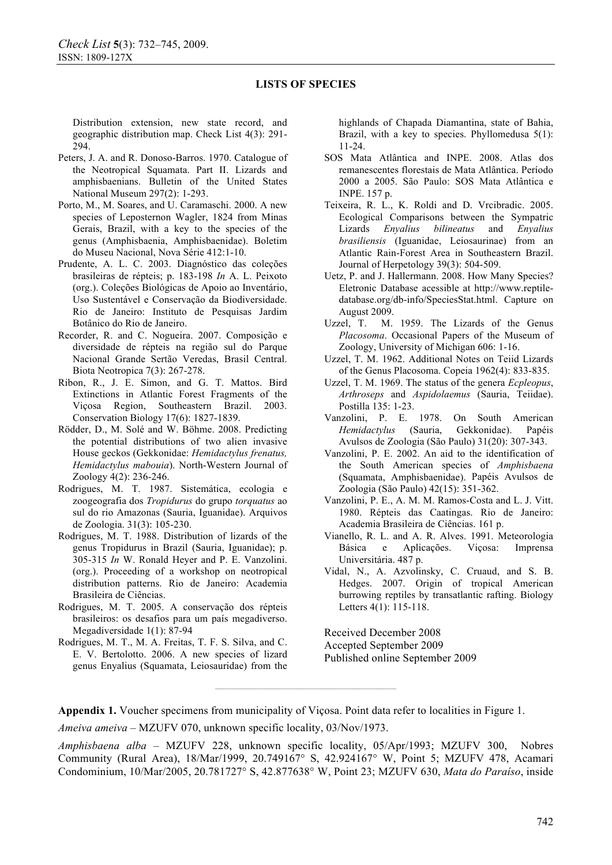Distribution extension, new state record, and geographic distribution map. Check List 4(3): 291- 294.

- Peters, J. A. and R. Donoso-Barros. 1970. Catalogue of the Neotropical Squamata. Part II. Lizards and amphisbaenians. Bulletin of the United States National Museum 297(2): 1-293.
- Porto, M., M. Soares, and U. Caramaschi. 2000. A new species of Leposternon Wagler, 1824 from Minas Gerais, Brazil, with a key to the species of the genus (Amphisbaenia, Amphisbaenidae). Boletim do Museu Nacional, Nova Série 412:1-10.
- Prudente, A. L. C. 2003. Diagnóstico das coleções brasileiras de répteis; p. 183-198 *In* A. L. Peixoto (org.). Coleções Biológicas de Apoio ao Inventário, Uso Sustentável e Conservação da Biodiversidade. Rio de Janeiro: Instituto de Pesquisas Jardim Botânico do Rio de Janeiro.
- Recorder, R. and C. Nogueira. 2007. Composição e diversidade de répteis na região sul do Parque Nacional Grande Sertão Veredas, Brasil Central. Biota Neotropica 7(3): 267-278.
- Ribon, R., J. E. Simon, and G. T. Mattos. Bird Extinctions in Atlantic Forest Fragments of the Viçosa Region, Southeastern Brazil. 2003. Conservation Biology 17(6): 1827-1839.
- Rödder, D., M. Solé and W. Böhme. 2008. Predicting the potential distributions of two alien invasive House geckos (Gekkonidae: *Hemidactylus frenatus, Hemidactylus mabouia*). North-Western Journal of Zoology 4(2): 236-246.
- Rodrigues, M. T. 1987. Sistemática, ecologia e zoogeografia dos *Tropidurus* do grupo *torquatus* ao sul do rio Amazonas (Sauria, Iguanidae). Arquivos de Zoologia. 31(3): 105-230.
- Rodrigues, M. T. 1988. Distribution of lizards of the genus Tropidurus in Brazil (Sauria, Iguanidae); p. 305-315 *In* W. Ronald Heyer and P. E. Vanzolini. (org.). Proceeding of a workshop on neotropical distribution patterns. Rio de Janeiro: Academia Brasileira de Ciências.
- Rodrigues, M. T. 2005. A conservação dos répteis brasileiros: os desafios para um país megadiverso. Megadiversidade 1(1): 87-94
- Rodrigues, M. T., M. A. Freitas, T. F. S. Silva, and C. E. V. Bertolotto. 2006. A new species of lizard genus Enyalius (Squamata, Leiosauridae) from the

highlands of Chapada Diamantina, state of Bahia, Brazil, with a key to species. Phyllomedusa 5(1): 11-24.

- SOS Mata Atlântica and INPE. 2008. Atlas dos remanescentes florestais de Mata Atlântica. Período 2000 a 2005. São Paulo: SOS Mata Atlântica e INPE. 157 p.
- Teixeira, R. L., K. Roldi and D. Vrcibradic. 2005. Ecological Comparisons between the Sympatric Lizards *Enyalius bilineatus* and *Enyalius brasiliensis* (Iguanidae, Leiosaurinae) from an Atlantic Rain-Forest Area in Southeastern Brazil. Journal of Herpetology 39(3): 504-509.
- Uetz, P. and J. Hallermann. 2008. How Many Species? Eletronic Database acessible at http://www.reptiledatabase.org/db-info/SpeciesStat.html. Capture on August 2009.
- Uzzel, T. M. 1959. The Lizards of the Genus *Placosoma*. Occasional Papers of the Museum of Zoology, University of Michigan 606: 1-16.
- Uzzel, T. M. 1962. Additional Notes on Teiid Lizards of the Genus Placosoma. Copeia 1962(4): 833-835.
- Uzzel, T. M. 1969. The status of the genera *Ecpleopus*, *Arthroseps* and *Aspidolaemus* (Sauria, Teiidae). Postilla 135: 1-23.
- Vanzolini, P. E. 1978. On South American *Hemidactylus* (Sauria, Gekkonidae). Papéis Avulsos de Zoologia (São Paulo) 31(20): 307-343.
- Vanzolini, P. E. 2002. An aid to the identification of the South American species of *Amphisbaena* (Squamata, Amphisbaenidae). Papéis Avulsos de Zoologia (São Paulo) 42(15): 351-362.
- Vanzolini, P. E., A. M. M. Ramos-Costa and L. J. Vitt. 1980. Répteis das Caatingas. Rio de Janeiro: Academia Brasileira de Ciências. 161 p.
- Vianello, R. L. and A. R. Alves. 1991. Meteorologia Básica e Aplicações. Viçosa: Imprensa Universitária. 487 p.
- Vidal, N., A. Azvolinsky, C. Cruaud, and S. B. Hedges. 2007. Origin of tropical American burrowing reptiles by transatlantic rafting. Biology Letters 4(1): 115-118.

Received December 2008

Accepted September 2009

Published online September 2009

**Appendix 1.** Voucher specimens from municipality of Viçosa. Point data refer to localities in Figure 1.

*Ameiva ameiva* – MZUFV 070, unknown specific locality, 03/Nov/1973.

*Amphisbaena alba* – MZUFV 228, unknown specific locality, 05/Apr/1993; MZUFV 300, Nobres Community (Rural Area), 18/Mar/1999, 20.749167° S, 42.924167° W, Point 5; MZUFV 478, Acamari Condominium, 10/Mar/2005, 20.781727° S, 42.877638° W, Point 23; MZUFV 630, *Mata do Paraíso*, inside

**————————————————**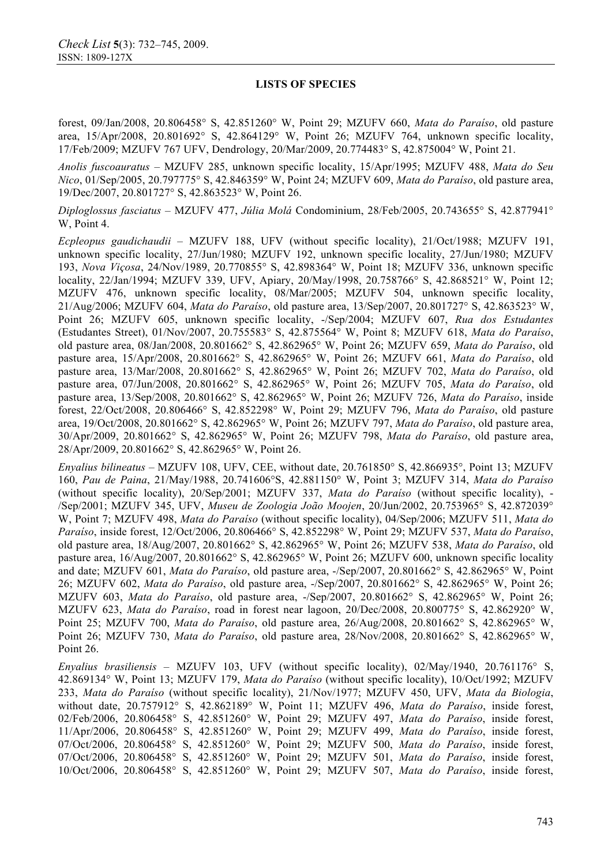forest, 09/Jan/2008, 20.806458° S, 42.851260° W, Point 29; MZUFV 660, *Mata do Paraíso*, old pasture area, 15/Apr/2008, 20.801692° S, 42.864129° W, Point 26; MZUFV 764, unknown specific locality, 17/Feb/2009; MZUFV 767 UFV, Dendrology, 20/Mar/2009, 20.774483° S, 42.875004° W, Point 21.

*Anolis fuscoauratus* – MZUFV 285, unknown specific locality, 15/Apr/1995; MZUFV 488, *Mata do Seu Nico*, 01/Sep/2005, 20.797775° S, 42.846359° W, Point 24; MZUFV 609, *Mata do Paraíso*, old pasture area, 19/Dec/2007, 20.801727° S, 42.863523° W, Point 26.

*Diploglossus fasciatus* – MZUFV 477, *Júlia Molá* Condominium, 28/Feb/2005, 20.743655° S, 42.877941° W, Point 4.

*Ecpleopus gaudichaudii* – MZUFV 188, UFV (without specific locality), 21/Oct/1988; MZUFV 191, unknown specific locality, 27/Jun/1980; MZUFV 192, unknown specific locality, 27/Jun/1980; MZUFV 193, *Nova Viçosa*, 24/Nov/1989, 20.770855° S, 42.898364° W, Point 18; MZUFV 336, unknown specific locality, 22/Jan/1994; MZUFV 339, UFV, Apiary, 20/May/1998, 20.758766° S, 42.868521° W, Point 12; MZUFV 476, unknown specific locality, 08/Mar/2005; MZUFV 504, unknown specific locality, 21/Aug/2006; MZUFV 604, *Mata do Paraíso*, old pasture area, 13/Sep/2007, 20.801727° S, 42.863523° W, Point 26; MZUFV 605, unknown specific locality, -/Sep/2004; MZUFV 607, *Rua dos Estudantes*  (Estudantes Street), 01/Nov/2007, 20.755583° S, 42.875564° W, Point 8; MZUFV 618, *Mata do Paraíso*, old pasture area, 08/Jan/2008, 20.801662° S, 42.862965° W, Point 26; MZUFV 659, *Mata do Paraíso*, old pasture area, 15/Apr/2008, 20.801662° S, 42.862965° W, Point 26; MZUFV 661, *Mata do Paraíso*, old pasture area, 13/Mar/2008, 20.801662° S, 42.862965° W, Point 26; MZUFV 702, *Mata do Paraíso*, old pasture area, 07/Jun/2008, 20.801662° S, 42.862965° W, Point 26; MZUFV 705, *Mata do Paraíso*, old pasture area, 13/Sep/2008, 20.801662° S, 42.862965° W, Point 26; MZUFV 726, *Mata do Paraíso*, inside forest, 22/Oct/2008, 20.806466° S, 42.852298° W, Point 29; MZUFV 796, *Mata do Paraíso*, old pasture area, 19/Oct/2008, 20.801662° S, 42.862965° W, Point 26; MZUFV 797, *Mata do Paraíso*, old pasture area, 30/Apr/2009, 20.801662° S, 42.862965° W, Point 26; MZUFV 798, *Mata do Paraíso*, old pasture area, 28/Apr/2009, 20.801662° S, 42.862965° W, Point 26.

*Enyalius bilineatus* – MZUFV 108, UFV, CEE, without date, 20.761850° S, 42.866935°, Point 13; MZUFV 160, *Pau de Paina*, 21/May/1988, 20.741606°S, 42.881150° W, Point 3; MZUFV 314, *Mata do Paraíso* (without specific locality), 20/Sep/2001; MZUFV 337, *Mata do Paraíso* (without specific locality), - /Sep/2001; MZUFV 345, UFV, *Museu de Zoologia João Moojen*, 20/Jun/2002, 20.753965° S, 42.872039° W, Point 7; MZUFV 498, *Mata do Paraíso* (without specific locality), 04/Sep/2006; MZUFV 511, *Mata do Paraíso*, inside forest, 12/Oct/2006, 20.806466° S, 42.852298° W, Point 29; MZUFV 537, *Mata do Paraíso*, old pasture area, 18/Aug/2007, 20.801662° S, 42.862965° W, Point 26; MZUFV 538, *Mata do Paraíso*, old pasture area, 16/Aug/2007, 20.801662° S, 42.862965° W, Point 26; MZUFV 600, unknown specific locality and date; MZUFV 601, *Mata do Paraíso*, old pasture area, -/Sep/2007, 20.801662° S, 42.862965° W, Point 26; MZUFV 602, *Mata do Paraíso*, old pasture area, -/Sep/2007, 20.801662° S, 42.862965° W, Point 26; MZUFV 603, *Mata do Paraíso*, old pasture area, -/Sep/2007, 20.801662° S, 42.862965° W, Point 26; MZUFV 623, *Mata do Paraíso*, road in forest near lagoon, 20/Dec/2008, 20.800775° S, 42.862920° W, Point 25; MZUFV 700, *Mata do Paraíso*, old pasture area, 26/Aug/2008, 20.801662° S, 42.862965° W, Point 26; MZUFV 730, *Mata do Paraíso*, old pasture area, 28/Nov/2008, 20.801662° S, 42.862965° W, Point 26.

*Enyalius brasiliensis* – MZUFV 103, UFV (without specific locality), 02/May/1940, 20.761176° S, 42.869134° W, Point 13; MZUFV 179, *Mata do Paraíso* (without specific locality), 10/Oct/1992; MZUFV 233, *Mata do Paraíso* (without specific locality), 21/Nov/1977; MZUFV 450, UFV, *Mata da Biologia*, without date, 20.757912° S, 42.862189° W, Point 11; MZUFV 496, *Mata do Paraíso*, inside forest, 02/Feb/2006, 20.806458° S, 42.851260° W, Point 29; MZUFV 497, *Mata do Paraíso*, inside forest, 11/Apr/2006, 20.806458° S, 42.851260° W, Point 29; MZUFV 499, *Mata do Paraíso*, inside forest, 07/Oct/2006, 20.806458° S, 42.851260° W, Point 29; MZUFV 500, *Mata do Paraíso*, inside forest, 07/Oct/2006, 20.806458° S, 42.851260° W, Point 29; MZUFV 501, *Mata do Paraíso*, inside forest, 10/Oct/2006, 20.806458° S, 42.851260° W, Point 29; MZUFV 507, *Mata do Paraíso*, inside forest,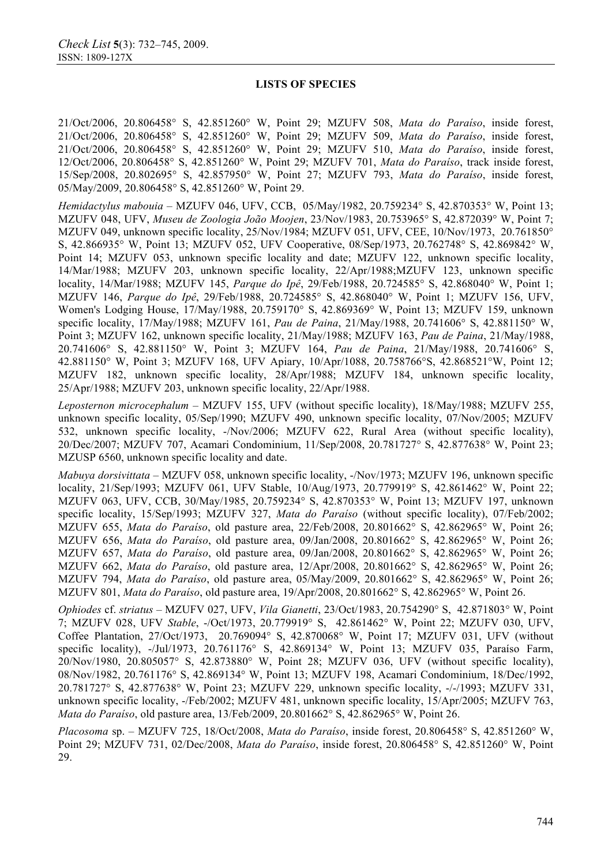21/Oct/2006, 20.806458° S, 42.851260° W, Point 29; MZUFV 508, *Mata do Paraíso*, inside forest, 21/Oct/2006, 20.806458° S, 42.851260° W, Point 29; MZUFV 509, *Mata do Paraíso*, inside forest, 21/Oct/2006, 20.806458° S, 42.851260° W, Point 29; MZUFV 510, *Mata do Paraíso*, inside forest, 12/Oct/2006, 20.806458° S, 42.851260° W, Point 29; MZUFV 701, *Mata do Paraíso*, track inside forest, 15/Sep/2008, 20.802695° S, 42.857950° W, Point 27; MZUFV 793, *Mata do Paraíso*, inside forest, 05/May/2009, 20.806458° S, 42.851260° W, Point 29.

*Hemidactylus mabouia* – MZUFV 046, UFV, CCB, 05/May/1982, 20.759234° S, 42.870353° W, Point 13; MZUFV 048, UFV, *Museu de Zoologia João Moojen*, 23/Nov/1983, 20.753965° S, 42.872039° W, Point 7; MZUFV 049, unknown specific locality, 25/Nov/1984; MZUFV 051, UFV, CEE, 10/Nov/1973, 20.761850° S, 42.866935° W, Point 13; MZUFV 052, UFV Cooperative, 08/Sep/1973, 20.762748° S, 42.869842° W, Point 14; MZUFV 053, unknown specific locality and date; MZUFV 122, unknown specific locality, 14/Mar/1988; MZUFV 203, unknown specific locality, 22/Apr/1988;MZUFV 123, unknown specific locality, 14/Mar/1988; MZUFV 145, *Parque do Ipê*, 29/Feb/1988, 20.724585° S, 42.868040° W, Point 1; MZUFV 146, *Parque do Ipê*, 29/Feb/1988, 20.724585° S, 42.868040° W, Point 1; MZUFV 156, UFV, Women's Lodging House, 17/May/1988, 20.759170° S, 42.869369° W, Point 13; MZUFV 159, unknown specific locality, 17/May/1988; MZUFV 161, *Pau de Paina*, 21/May/1988, 20.741606° S, 42.881150° W, Point 3; MZUFV 162, unknown specific locality, 21/May/1988; MZUFV 163, *Pau de Paina*, 21/May/1988, 20.741606° S, 42.881150° W, Point 3; MZUFV 164, *Pau de Paina*, 21/May/1988, 20.741606° S, 42.881150° W, Point 3; MZUFV 168, UFV Apiary, 10/Apr/1088, 20.758766°S, 42.868521°W, Point 12; MZUFV 182, unknown specific locality, 28/Apr/1988; MZUFV 184, unknown specific locality, 25/Apr/1988; MZUFV 203, unknown specific locality, 22/Apr/1988.

*Leposternon microcephalum* – MZUFV 155, UFV (without specific locality), 18/May/1988; MZUFV 255, unknown specific locality, 05/Sep/1990; MZUFV 490, unknown specific locality, 07/Nov/2005; MZUFV 532, unknown specific locality, -/Nov/2006; MZUFV 622, Rural Area (without specific locality), 20/Dec/2007; MZUFV 707, Acamari Condominium, 11/Sep/2008, 20.781727° S, 42.877638° W, Point 23; MZUSP 6560, unknown specific locality and date.

*Mabuya dorsivittata* – MZUFV 058, unknown specific locality, -/Nov/1973; MZUFV 196, unknown specific locality, 21/Sep/1993; MZUFV 061, UFV Stable, 10/Aug/1973, 20.779919° S, 42.861462° W, Point 22; MZUFV 063, UFV, CCB, 30/May/1985, 20.759234° S, 42.870353° W, Point 13; MZUFV 197, unknown specific locality, 15/Sep/1993; MZUFV 327, *Mata do Paraíso* (without specific locality), 07/Feb/2002; MZUFV 655, *Mata do Paraíso*, old pasture area, 22/Feb/2008, 20.801662° S, 42.862965° W, Point 26; MZUFV 656, *Mata do Paraíso*, old pasture area, 09/Jan/2008, 20.801662° S, 42.862965° W, Point 26; MZUFV 657, *Mata do Paraíso*, old pasture area, 09/Jan/2008, 20.801662° S, 42.862965° W, Point 26; MZUFV 662, *Mata do Paraíso*, old pasture area, 12/Apr/2008, 20.801662° S, 42.862965° W, Point 26; MZUFV 794, *Mata do Paraíso*, old pasture area, 05/May/2009, 20.801662° S, 42.862965° W, Point 26; MZUFV 801, *Mata do Paraíso*, old pasture area, 19/Apr/2008, 20.801662° S, 42.862965° W, Point 26.

*Ophiodes* cf. *striatus* – MZUFV 027, UFV, *Vila Gianetti*, 23/Oct/1983, 20.754290° S, 42.871803° W, Point 7; MZUFV 028, UFV *Stable*, -/Oct/1973, 20.779919° S, 42.861462° W, Point 22; MZUFV 030, UFV, Coffee Plantation, 27/Oct/1973, 20.769094° S, 42.870068° W, Point 17; MZUFV 031, UFV (without specific locality), -/Jul/1973, 20.761176° S, 42.869134° W, Point 13; MZUFV 035, Paraíso Farm, 20/Nov/1980, 20.805057° S, 42.873880° W, Point 28; MZUFV 036, UFV (without specific locality), 08/Nov/1982, 20.761176° S, 42.869134° W, Point 13; MZUFV 198, Acamari Condominium, 18/Dec/1992, 20.781727° S, 42.877638° W, Point 23; MZUFV 229, unknown specific locality, -/-/1993; MZUFV 331, unknown specific locality, -/Feb/2002; MZUFV 481, unknown specific locality, 15/Apr/2005; MZUFV 763, *Mata do Paraíso*, old pasture area, 13/Feb/2009, 20.801662° S, 42.862965° W, Point 26.

*Placosoma* sp. – MZUFV 725, 18/Oct/2008, *Mata do Paraíso*, inside forest, 20.806458° S, 42.851260° W, Point 29; MZUFV 731, 02/Dec/2008, *Mata do Paraíso*, inside forest, 20.806458° S, 42.851260° W, Point 29.